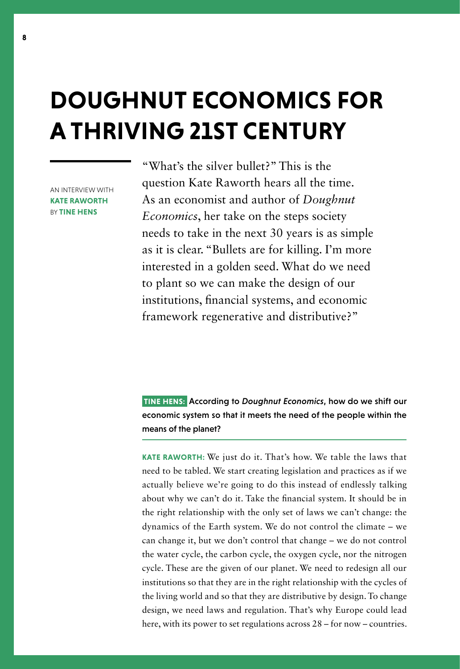# **DOUGHNUT ECONOMICS FOR A THRIVING 21ST CENTURY**

AN INTERVIEW WITH **KATE RAWORTH**  BY **TINE HENS**

"What's the silver bullet?" This is the question Kate Raworth hears all the time. As an economist and author of *Doughnut Economics*, her take on the steps society needs to take in the next 30 years is as simple as it is clear. "Bullets are for killing. I'm more interested in a golden seed. What do we need to plant so we can make the design of our institutions, financial systems, and economic framework regenerative and distributive?"

 **TINE HENS:** According to *Doughnut Economics*, how do we shift our economic system so that it meets the need of the people within the means of the planet?

**KATE RAWORTH:** We just do it. That's how. We table the laws that need to be tabled. We start creating legislation and practices as if we actually believe we're going to do this instead of endlessly talking about why we can't do it. Take the financial system. It should be in the right relationship with the only set of laws we can't change: the dynamics of the Earth system. We do not control the climate – we can change it, but we don't control that change – we do not control the water cycle, the carbon cycle, the oxygen cycle, nor the nitrogen cycle. These are the given of our planet. We need to redesign all our institutions so that they are in the right relationship with the cycles of the living world and so that they are distributive by design. To change design, we need laws and regulation. That's why Europe could lead here, with its power to set regulations across 28 – for now – countries.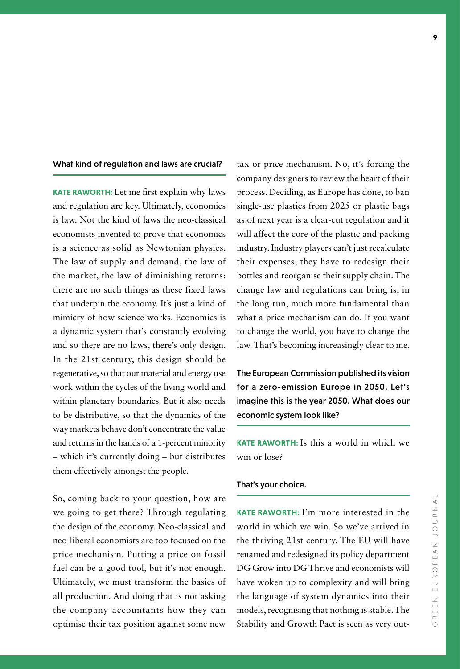### What kind of regulation and laws are crucial?

**KATE RAWORTH:** Let me first explain why laws and regulation are key. Ultimately, economics is law. Not the kind of laws the neo-classical economists invented to prove that economics is a science as solid as Newtonian physics. The law of supply and demand, the law of the market, the law of diminishing returns: there are no such things as these fixed laws that underpin the economy. It's just a kind of mimicry of how science works. Economics is a dynamic system that's constantly evolving and so there are no laws, there's only design. In the 21st century, this design should be regenerative, so that our material and energy use work within the cycles of the living world and within planetary boundaries. But it also needs to be distributive, so that the dynamics of the way markets behave don't concentrate the value and returns in the hands of a 1-percent minority – which it's currently doing – but distributes them effectively amongst the people.

So, coming back to your question, how are we going to get there? Through regulating the design of the economy. Neo-classical and neo-liberal economists are too focused on the price mechanism. Putting a price on fossil fuel can be a good tool, but it's not enough. Ultimately, we must transform the basics of all production. And doing that is not asking the company accountants how they can optimise their tax position against some new

tax or price mechanism. No, it's forcing the company designers to review the heart of their process. Deciding, as Europe has done, to ban single-use plastics from 2025 or plastic bags as of next year is a clear-cut regulation and it will affect the core of the plastic and packing industry. Industry players can't just recalculate their expenses, they have to redesign their bottles and reorganise their supply chain. The change law and regulations can bring is, in the long run, much more fundamental than what a price mechanism can do. If you want to change the world, you have to change the law. That's becoming increasingly clear to me.

The European Commission published its vision for a zero-emission Europe in 2050. Let's imagine this is the year 2050. What does our economic system look like?

**KATE RAWORTH:** Is this a world in which we win or lose?

#### That's your choice.

**KATE RAWORTH:** I'm more interested in the world in which we win. So we've arrived in the thriving 21st century. The EU will have renamed and redesigned its policy department DG Grow into DG Thrive and economists will have woken up to complexity and will bring the language of system dynamics into their models, recognising that nothing is stable. The Stability and Growth Pact is seen as very out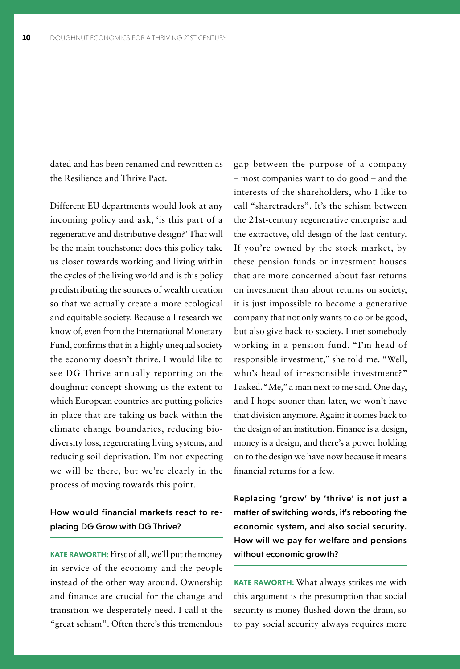dated and has been renamed and rewritten as the Resilience and Thrive Pact.

Different EU departments would look at any incoming policy and ask, 'is this part of a regenerative and distributive design?' That will be the main touchstone: does this policy take us closer towards working and living within the cycles of the living world and is this policy predistributing the sources of wealth creation so that we actually create a more ecological and equitable society. Because all research we know of, even from the International Monetary Fund, confirms that in a highly unequal society the economy doesn't thrive. I would like to see DG Thrive annually reporting on the doughnut concept showing us the extent to which European countries are putting policies in place that are taking us back within the climate change boundaries, reducing biodiversity loss, regenerating living systems, and reducing soil deprivation. I'm not expecting we will be there, but we're clearly in the process of moving towards this point.

## How would financial markets react to re placing DG Grow with DG Thrive?

**KATE RAWORTH:** First of all, we'll put the money in service of the economy and the people instead of the other way around. Ownership and finance are crucial for the change and transition we desperately need. I call it the "great schism". Often there's this tremendous

gap between the purpose of a company – most companies want to do good – and the interests of the shareholders, who I like to call "sharetraders". It's the schism between the 21st-century regenerative enterprise and the extractive, old design of the last century. If you're owned by the stock market, by these pension funds or investment houses that are more concerned about fast returns on investment than about returns on society, it is just impossible to become a generative company that not only wants to do or be good, but also give back to society. I met somebody working in a pension fund. "I'm head of responsible investment," she told me. "Well, who's head of irresponsible investment?" I asked. "Me," a man next to me said. One day, and I hope sooner than later, we won't have that division anymore. Again: it comes back to the design of an institution. Finance is a design, money is a design, and there's a power holding on to the design we have now because it means financial returns for a few.

Replacing 'grow' by 'thrive' is not just a matter of switching words, it's rebooting the economic system, and also social security. How will we pay for welfare and pensions without economic growth?

**KATE RAWORTH:** What always strikes me with this argument is the presumption that social security is money flushed down the drain, so to pay social security always requires more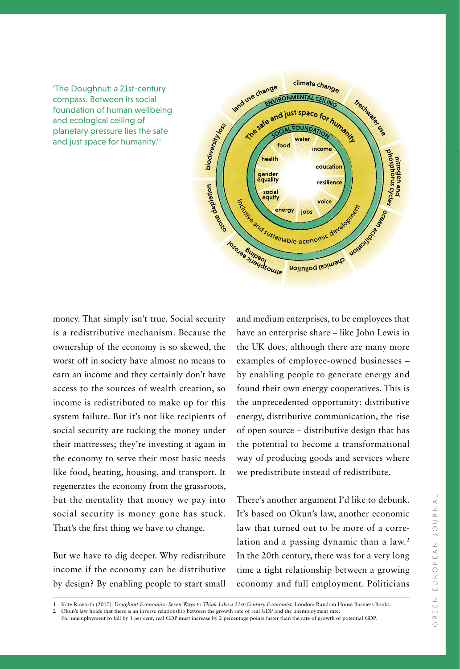'The Doughnut: a 21st-century compass. Between its social foundation of human wellbeing and ecological ceiling of planetary pressure lies the safe and just space for humanity.<sup>1</sup>



money. That simply isn't true. Social security is a redistributive mechanism. Because the ownership of the economy is so skewed, the worst off in society have almost no means to earn an income and they certainly don't have access to the sources of wealth creation, so income is redistributed to make up for this system failure. But it's not like recipients of social security are tucking the money under their mattresses; they're investing it again in the economy to serve their most basic needs like food, heating, housing, and transport. It regenerates the economy from the grassroots, but the mentality that money we pay into social security is money gone has stuck. That's the first thing we have to change.

But we have to dig deeper. Why redistribute income if the economy can be distributive by design? By enabling people to start small

and medium enterprises, to be employees that have an enterprise share – like John Lewis in the UK does, although there are many more examples of employee-owned businesses – by enabling people to generate energy and found their own energy cooperatives. This is the unprecedented opportunity: distributive energy, distributive communication, the rise of open source – distributive design that has the potential to become a transformational way of producing goods and services where we predistribute instead of redistribute.

There's another argument I'd like to debunk. It's based on Okun's law, another economic law that turned out to be more of a correlation and a passing dynamic than a law.<sup>2</sup> In the 20th century, there was for a very long time a tight relationship between a growing economy and full employment. Politicians

<sup>1</sup> Kate Raworth (2017). *Doughnut Economics: Seven Ways to Think Like a 21st-Century Economist.* London: Random House Business Books. 2 Okun's law holds that there is an inverse relationship between the growth rate of real GDP and the unemployment rate.

For unemployment to fall by 1 per cent, real GDP must increase by 2 percentage points faster than the rate of growth of potential GDP.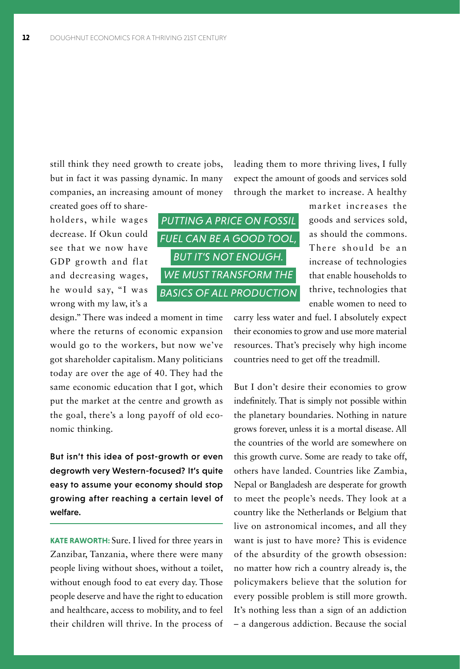still think they need growth to create jobs, but in fact it was passing dynamic. In many companies, an increasing amount of money

created goes off to shareholders, while wages decrease. If Okun could see that we now have GDP growth and flat and decreasing wages, he would say, "I was wrong with my law, it's a

design." There was indeed a moment in time where the returns of economic expansion would go to the workers, but now we've got shareholder capitalism. Many politicians today are over the age of 40. They had the same economic education that I got, which put the market at the centre and growth as the goal, there's a long payoff of old economic thinking.

But isn't this idea of post-growth or even degrowth very Western-focused? It's quite easy to assume your economy should stop growing after reaching a certain level of welfare.

**KATE RAWORTH:** Sure. I lived for three years in Zanzibar, Tanzania, where there were many people living without shoes, without a toilet, without enough food to eat every day. Those people deserve and have the right to education and healthcare, access to mobility, and to feel their children will thrive. In the process of leading them to more thriving lives, I fully expect the amount of goods and services sold through the market to increase. A healthy



market increases the goods and services sold, as should the commons. There should be an increase of technologies that enable households to thrive, technologies that enable women to need to

carry less water and fuel. I absolutely expect their economies to grow and use more material resources. That's precisely why high income countries need to get off the treadmill.

But I don't desire their economies to grow indefinitely. That is simply not possible within the planetary boundaries. Nothing in nature grows forever, unless it is a mortal disease. All the countries of the world are somewhere on this growth curve. Some are ready to take off, others have landed. Countries like Zambia, Nepal or Bangladesh are desperate for growth to meet the people's needs. They look at a country like the Netherlands or Belgium that live on astronomical incomes, and all they want is just to have more? This is evidence of the absurdity of the growth obsession: no matter how rich a country already is, the policymakers believe that the solution for every possible problem is still more growth. It's nothing less than a sign of an addiction – a dangerous addiction. Because the social